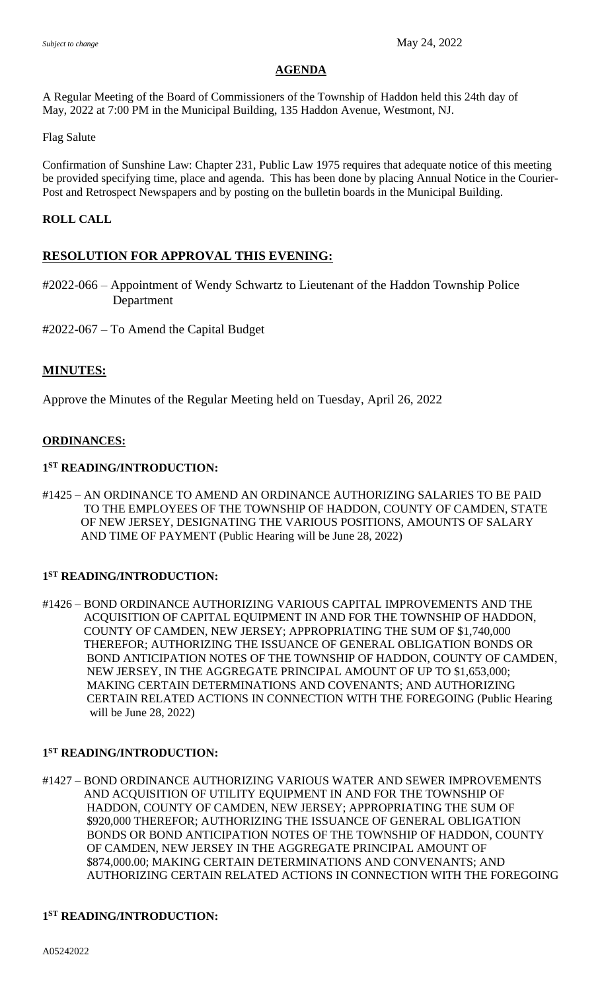#### **AGENDA**

A Regular Meeting of the Board of Commissioners of the Township of Haddon held this 24th day of May, 2022 at 7:00 PM in the Municipal Building, 135 Haddon Avenue, Westmont, NJ.

Flag Salute

Confirmation of Sunshine Law: Chapter 231, Public Law 1975 requires that adequate notice of this meeting be provided specifying time, place and agenda. This has been done by placing Annual Notice in the Courier-Post and Retrospect Newspapers and by posting on the bulletin boards in the Municipal Building.

## **ROLL CALL**

# **RESOLUTION FOR APPROVAL THIS EVENING:**

#2022-066 – Appointment of Wendy Schwartz to Lieutenant of the Haddon Township Police Department

#2022-067 – To Amend the Capital Budget

## **MINUTES:**

Approve the Minutes of the Regular Meeting held on Tuesday, April 26, 2022

## **ORDINANCES:**

#### **1 ST READING/INTRODUCTION:**

#1425 – AN ORDINANCE TO AMEND AN ORDINANCE AUTHORIZING SALARIES TO BE PAID TO THE EMPLOYEES OF THE TOWNSHIP OF HADDON, COUNTY OF CAMDEN, STATE OF NEW JERSEY, DESIGNATING THE VARIOUS POSITIONS, AMOUNTS OF SALARY AND TIME OF PAYMENT (Public Hearing will be June 28, 2022)

# **1 ST READING/INTRODUCTION:**

#1426 – BOND ORDINANCE AUTHORIZING VARIOUS CAPITAL IMPROVEMENTS AND THE ACQUISITION OF CAPITAL EQUIPMENT IN AND FOR THE TOWNSHIP OF HADDON, COUNTY OF CAMDEN, NEW JERSEY; APPROPRIATING THE SUM OF \$1,740,000 THEREFOR; AUTHORIZING THE ISSUANCE OF GENERAL OBLIGATION BONDS OR BOND ANTICIPATION NOTES OF THE TOWNSHIP OF HADDON, COUNTY OF CAMDEN, NEW JERSEY, IN THE AGGREGATE PRINCIPAL AMOUNT OF UP TO \$1,653,000; MAKING CERTAIN DETERMINATIONS AND COVENANTS; AND AUTHORIZING CERTAIN RELATED ACTIONS IN CONNECTION WITH THE FOREGOING (Public Hearing will be June 28, 2022)

#### **1 ST READING/INTRODUCTION:**

#1427 – BOND ORDINANCE AUTHORIZING VARIOUS WATER AND SEWER IMPROVEMENTS AND ACQUISITION OF UTILITY EQUIPMENT IN AND FOR THE TOWNSHIP OF HADDON, COUNTY OF CAMDEN, NEW JERSEY; APPROPRIATING THE SUM OF \$920,000 THEREFOR; AUTHORIZING THE ISSUANCE OF GENERAL OBLIGATION BONDS OR BOND ANTICIPATION NOTES OF THE TOWNSHIP OF HADDON, COUNTY OF CAMDEN, NEW JERSEY IN THE AGGREGATE PRINCIPAL AMOUNT OF \$874,000.00; MAKING CERTAIN DETERMINATIONS AND CONVENANTS; AND AUTHORIZING CERTAIN RELATED ACTIONS IN CONNECTION WITH THE FOREGOING

#### **1 ST READING/INTRODUCTION:**